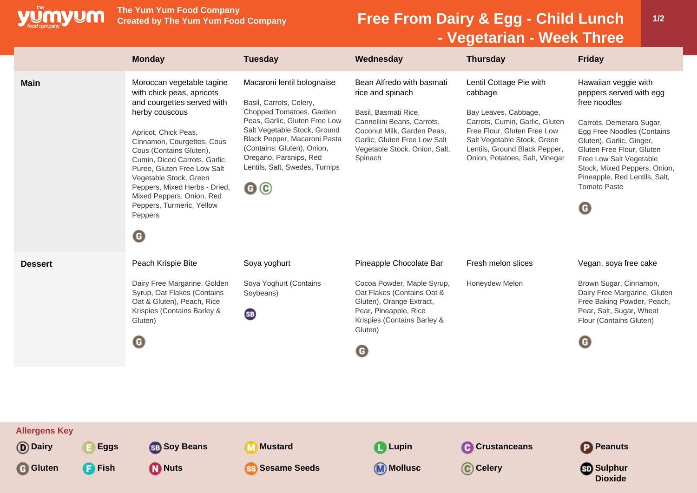

**The Yum Yum Food Company**

## **Free From Dairy & Egg - Child Lunch - Vegetarian - Week Three**

|                                   | <b>Monday</b>                                                                                                                                                                                                                                                                                                                                                                                              | <b>Tuesday</b>                                                                                                                                                                                                                                                                     | Wednesday                                                                                                                                                                                                     | <b>Thursday</b>                                                                                                                                                                                                               | <b>Friday</b>                                                                                                                                                                                                                                                                                                        |
|-----------------------------------|------------------------------------------------------------------------------------------------------------------------------------------------------------------------------------------------------------------------------------------------------------------------------------------------------------------------------------------------------------------------------------------------------------|------------------------------------------------------------------------------------------------------------------------------------------------------------------------------------------------------------------------------------------------------------------------------------|---------------------------------------------------------------------------------------------------------------------------------------------------------------------------------------------------------------|-------------------------------------------------------------------------------------------------------------------------------------------------------------------------------------------------------------------------------|----------------------------------------------------------------------------------------------------------------------------------------------------------------------------------------------------------------------------------------------------------------------------------------------------------------------|
| <b>Main</b>                       | Moroccan vegetable tagine<br>with chick peas, apricots<br>and courgettes served with<br>herby couscous<br>Apricot, Chick Peas,<br>Cinnamon, Courgettes, Cous<br>Cous (Contains Gluten),<br>Cumin, Diced Carrots, Garlic<br>Puree, Gluten Free Low Salt<br>Vegetable Stock, Green<br>Peppers, Mixed Herbs - Dried,<br>Mixed Peppers, Onion, Red<br>Peppers, Turmeric, Yellow<br>Peppers<br>$\mathbf \Theta$ | Macaroni lentil bolognaise<br>Basil, Carrots, Celery,<br>Chopped Tomatoes, Garden<br>Peas, Garlic, Gluten Free Low<br>Salt Vegetable Stock, Ground<br>Black Pepper, Macaroni Pasta<br>(Contains: Gluten), Onion,<br>Oregano, Parsnips, Red<br>Lentils, Salt, Swedes, Turnips<br>@© | Bean Alfredo with basmati<br>rice and spinach<br>Basil, Basmati Rice,<br>Cannellini Beans, Carrots,<br>Coconut Milk, Garden Peas,<br>Garlic, Gluten Free Low Salt<br>Vegetable Stock, Onion, Salt,<br>Spinach | Lentil Cottage Pie with<br>cabbage<br>Bay Leaves, Cabbage,<br>Carrots, Cumin, Garlic, Gluten<br>Free Flour, Gluten Free Low<br>Salt Vegetable Stock, Green<br>Lentils, Ground Black Pepper,<br>Onion, Potatoes, Salt, Vinegar | Hawaiian veggie with<br>peppers served with egg<br>free noodles<br>Carrots, Demerara Sugar,<br>Egg Free Noodles (Contains<br>Gluten), Garlic, Ginger,<br>Gluten Free Flour, Gluten<br>Free Low Salt Vegetable<br>Stock, Mixed Peppers, Onion,<br>Pineapple, Red Lentils, Salt,<br><b>Tomato Paste</b><br>$\mathbf G$ |
| <b>Dessert</b>                    | Peach Krispie Bite<br>Dairy Free Margarine, Golden<br>Syrup, Oat Flakes (Contains<br>Oat & Gluten), Peach, Rice<br>Krispies (Contains Barley &<br>Gluten)<br>$\mathbf \Theta$                                                                                                                                                                                                                              | Soya yoghurt<br>Soya Yoghurt (Contains<br>Soybeans)<br><b>SB</b>                                                                                                                                                                                                                   | Pineapple Chocolate Bar<br>Cocoa Powder, Maple Syrup,<br>Oat Flakes (Contains Oat &<br>Gluten), Orange Extract,<br>Pear, Pineapple, Rice<br>Krispies (Contains Barley &<br>Gluten)<br>O                       | Fresh melon slices<br>Honeydew Melon                                                                                                                                                                                          | Vegan, soya free cake<br>Brown Sugar, Cinnamon,<br>Dairy Free Margarine, Gluten<br>Free Baking Powder, Peach,<br>Pear, Salt, Sugar, Wheat<br>Flour (Contains Gluten)<br>$\mathbf \Theta$                                                                                                                             |
| <b>Allergens Key</b><br>(D) Dairy | <b>Eggs</b><br><b>SB</b> Soy Beans                                                                                                                                                                                                                                                                                                                                                                         | Mustard                                                                                                                                                                                                                                                                            | <b>L</b> Lupin                                                                                                                                                                                                | <b>C</b> Crustanceans                                                                                                                                                                                                         | Peanuts                                                                                                                                                                                                                                                                                                              |
| <b>F</b> Fish<br>G Gluten         | <b>M</b> Nuts                                                                                                                                                                                                                                                                                                                                                                                              | <b>Sesame Seeds</b>                                                                                                                                                                                                                                                                | (M) Mollusc                                                                                                                                                                                                   | C Celery                                                                                                                                                                                                                      | <mark></mark> ො Sulphur<br><b>Dioxide</b>                                                                                                                                                                                                                                                                            |